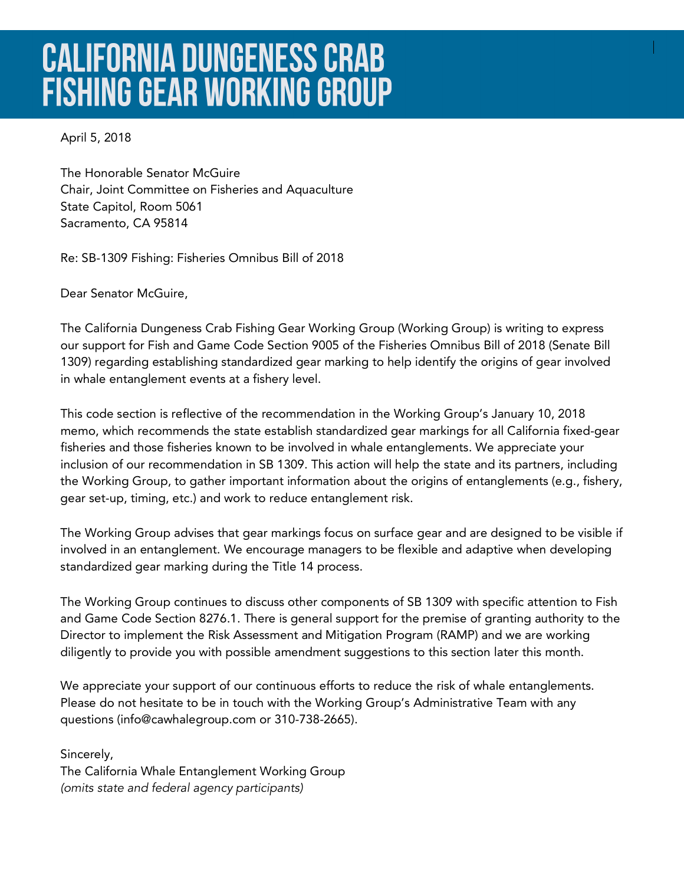April 5, 2018

 Chair, Joint Committee on Fisheries and Aquaculture State Capitol, Room 5061 The Honorable Senator McGuire Sacramento, CA 95814

Re: SB-1309 Fishing: Fisheries Omnibus Bill of 2018

Dear Senator McGuire,

 The California Dungeness Crab Fishing Gear Working Group (Working Group) is writing to express our support for Fish and Game Code Section 9005 of the Fisheries Omnibus Bill of 2018 (Senate Bill 1309) regarding establishing standardized gear marking to help identify the origins of gear involved in whale entanglement events at a fishery level.

 This code section is reflective of the recommendation in the Working Group's January 10, 2018 memo, which recommends the state establish standardized gear markings for all California fixed-gear fisheries and those fisheries known to be involved in whale entanglements. We appreciate your inclusion of our recommendation in SB 1309. This action will help the state and its partners, including the Working Group, to gather important information about the origins of entanglements (e.g., fishery, gear set-up, timing, etc.) and work to reduce entanglement risk.

 The Working Group advises that gear markings focus on surface gear and are designed to be visible if involved in an entanglement. We encourage managers to be flexible and adaptive when developing standardized gear marking during the Title 14 process.

 The Working Group continues to discuss other components of SB 1309 with specific attention to Fish and Game Code Section 8276.1. There is general support for the premise of granting authority to the Director to implement the Risk Assessment and Mitigation Program (RAMP) and we are working diligently to provide you with possible amendment suggestions to this section later this month.

We appreciate your support of our continuous efforts to reduce the risk of whale entanglements. Please do not hesitate to be in touch with the Working Group's Administrative Team with any questions (info@cawhalegroup.com or 310-738-2665).

Sincerely, The California Whale Entanglement Working Group *(omits state and federal agency participants)*